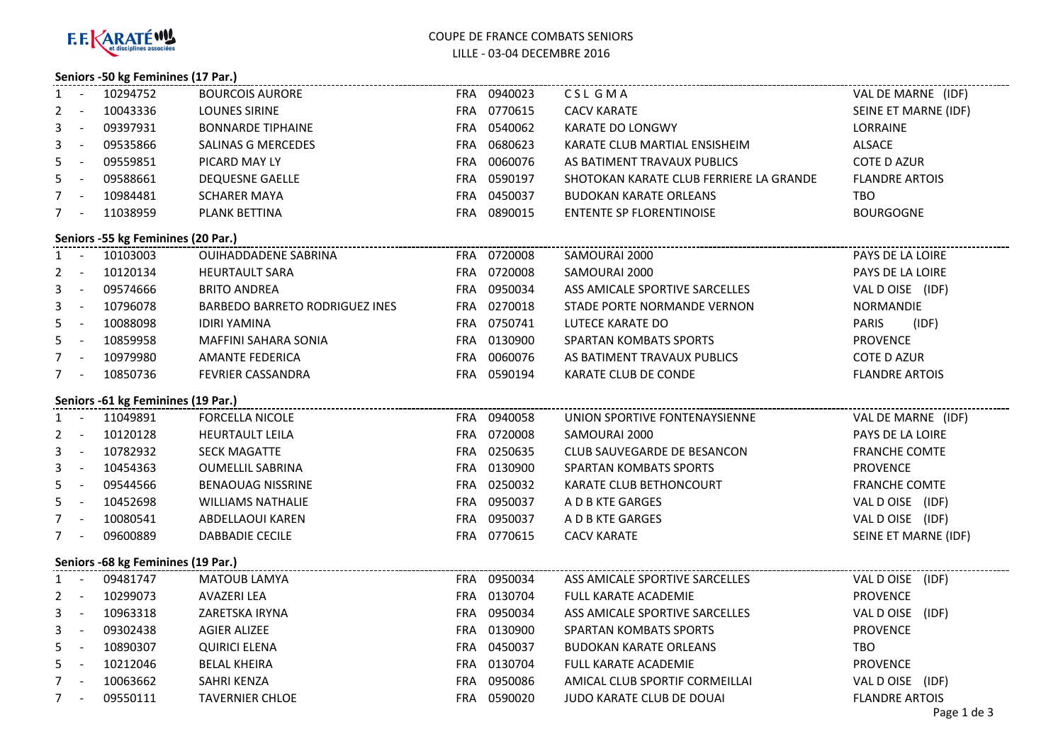

# COUPE DE FRANCE COMBATS SENIORSLILLE - 03-04 DECEMBRE 2016

## **Seniors -50 kg Feminines (17 Par.)**

|                                    |                                    | ---------------------------- |                                       |  |             |                                         |                       |  |  |
|------------------------------------|------------------------------------|------------------------------|---------------------------------------|--|-------------|-----------------------------------------|-----------------------|--|--|
| 1                                  |                                    | $-10294752$                  | <b>BOURCOIS AURORE</b>                |  | FRA 0940023 | CSL GMA                                 | VAL DE MARNE (IDF)    |  |  |
| 2                                  |                                    | $- 10043336$                 | <b>LOUNES SIRINE</b>                  |  | FRA 0770615 | <b>CACV KARATE</b>                      | SEINE ET MARNE (IDF)  |  |  |
| 3                                  | $\sim 10^{-10}$                    | 09397931                     | <b>BONNARDE TIPHAINE</b>              |  | FRA 0540062 | KARATE DO LONGWY                        | LORRAINE              |  |  |
| 3                                  | $\sim 10^{-10}$                    | 09535866                     | SALINAS G MERCEDES                    |  | FRA 0680623 | KARATE CLUB MARTIAL ENSISHEIM           | ALSACE                |  |  |
| 5                                  | $\sim 10^{-10}$ m $^{-1}$          | 09559851                     | PICARD MAY LY                         |  | FRA 0060076 | AS BATIMENT TRAVAUX PUBLICS             | <b>COTE D AZUR</b>    |  |  |
| 5                                  | $\sim 10^{-10}$                    | 09588661                     | <b>DEQUESNE GAELLE</b>                |  | FRA 0590197 | SHOTOKAN KARATE CLUB FERRIERE LA GRANDE | <b>FLANDRE ARTOIS</b> |  |  |
|                                    |                                    | 7 - 10984481                 | <b>SCHARER MAYA</b>                   |  | FRA 0450037 | <b>BUDOKAN KARATE ORLEANS</b>           | TBO.                  |  |  |
|                                    |                                    | 7 - 11038959                 | PLANK BETTINA                         |  | FRA 0890015 | <b>ENTENTE SP FLORENTINOISE</b>         | <b>BOURGOGNE</b>      |  |  |
| Seniors -55 kg Feminines (20 Par.) |                                    |                              |                                       |  |             |                                         |                       |  |  |
|                                    |                                    | 1 - 10103003                 | <b>OUIHADDADENE SABRINA</b>           |  | FRA 0720008 | SAMOURAI 2000                           | PAYS DE LA LOIRE      |  |  |
|                                    |                                    | 2 - 10120134                 | <b>HEURTAULT SARA</b>                 |  | FRA 0720008 | SAMOURAI 2000                           | PAYS DE LA LOIRE      |  |  |
| 3                                  | $\sim 10^{-10}$                    | 09574666                     | <b>BRITO ANDREA</b>                   |  | FRA 0950034 | ASS AMICALE SPORTIVE SARCELLES          | VAL DOISE (IDF)       |  |  |
| 3                                  |                                    | - 10796078                   | <b>BARBEDO BARRETO RODRIGUEZ INES</b> |  | FRA 0270018 | STADE PORTE NORMANDE VERNON             | <b>NORMANDIE</b>      |  |  |
| 5                                  |                                    | $- 10088098$                 | <b>IDIRI YAMINA</b>                   |  | FRA 0750741 | LUTECE KARATE DO                        | PARIS<br>(IDF)        |  |  |
| 5                                  |                                    | - 10859958                   | MAFFINI SAHARA SONIA                  |  | FRA 0130900 | SPARTAN KOMBATS SPORTS                  | <b>PROVENCE</b>       |  |  |
|                                    |                                    | 7 - 10979980                 | <b>AMANTE FEDERICA</b>                |  | FRA 0060076 | AS BATIMENT TRAVAUX PUBLICS             | <b>COTE D AZUR</b>    |  |  |
|                                    | $7 -$                              | 10850736                     | FEVRIER CASSANDRA                     |  | FRA 0590194 | KARATE CLUB DE CONDE                    | <b>FLANDRE ARTOIS</b> |  |  |
|                                    | Seniors -61 kg Feminines (19 Par.) |                              |                                       |  |             |                                         |                       |  |  |
|                                    |                                    | 1 - 11049891                 | <b>FORCELLA NICOLE</b>                |  | FRA 0940058 | UNION SPORTIVE FONTENAYSIENNE           | VAL DE MARNE (IDF)    |  |  |
|                                    |                                    | 2 - 10120128                 | HEURTAULT LEILA                       |  | FRA 0720008 | SAMOURAI 2000                           | PAYS DE LA LOIRE      |  |  |
|                                    |                                    | 3 - 10782932                 | <b>SECK MAGATTE</b>                   |  | FRA 0250635 | CLUB SAUVEGARDE DE BESANCON             | <b>FRANCHE COMTE</b>  |  |  |
| 3                                  |                                    | $- 10454363$                 | <b>OUMELLIL SABRINA</b>               |  | FRA 0130900 | SPARTAN KOMBATS SPORTS                  | <b>PROVENCE</b>       |  |  |
| 5                                  | $\sim 100$                         | 09544566                     | <b>BENAOUAG NISSRINE</b>              |  | FRA 0250032 | KARATE CLUB BETHONCOURT                 | <b>FRANCHE COMTE</b>  |  |  |
|                                    | $5 -$                              | 10452698                     | <b>WILLIAMS NATHALIE</b>              |  | FRA 0950037 | A D B KTE GARGES                        | VAL DOISE (IDF)       |  |  |
|                                    | $7 -$                              | 10080541                     | ABDELLAOUI KAREN                      |  | FRA 0950037 | A D B KTE GARGES                        | VAL DOISE (IDF)       |  |  |
|                                    | $7 -$                              | 09600889                     | DABBADIE CECILE                       |  | FRA 0770615 | <b>CACV KARATE</b>                      | SEINE ET MARNE (IDF)  |  |  |
| Seniors -68 kg Feminines (19 Par.) |                                    |                              |                                       |  |             |                                         |                       |  |  |
|                                    | $1 -$                              | 09481747                     | MATOUB LAMYA                          |  | FRA 0950034 | ASS AMICALE SPORTIVE SARCELLES          | VAL DOISE (IDF)       |  |  |
|                                    | $2 - 1$                            | 10299073                     | AVAZERI LEA                           |  | FRA 0130704 | <b>FULL KARATE ACADEMIE</b>             | <b>PROVENCE</b>       |  |  |
| 3                                  | $\sim 10^{-10}$ m $^{-1}$          | 10963318                     | ZARETSKA IRYNA                        |  | FRA 0950034 | ASS AMICALE SPORTIVE SARCELLES          | VAL DOISE (IDF)       |  |  |
| 3                                  | $\sim 10^{-1}$                     | 09302438                     | <b>AGIER ALIZEE</b>                   |  | FRA 0130900 | SPARTAN KOMBATS SPORTS                  | <b>PROVENCE</b>       |  |  |
| 5                                  | $\sim 10^{-10}$                    | 10890307                     | <b>QUIRICI ELENA</b>                  |  | FRA 0450037 | <b>BUDOKAN KARATE ORLEANS</b>           | TBO.                  |  |  |
| 5                                  | $\sim 10^{-10}$                    | 10212046                     | <b>BELAL KHEIRA</b>                   |  | FRA 0130704 | <b>FULL KARATE ACADEMIE</b>             | <b>PROVENCE</b>       |  |  |
|                                    | $7 -$                              | 10063662                     | SAHRI KENZA                           |  | FRA 0950086 | AMICAL CLUB SPORTIF CORMEILLAI          | VAL DOISE (IDF)       |  |  |
|                                    |                                    | 7 - 09550111                 | <b>TAVERNIER CHLOE</b>                |  | FRA 0590020 | JUDO KARATE CLUB DE DOUAI               | <b>FLANDRE ARTOIS</b> |  |  |
|                                    |                                    |                              |                                       |  |             |                                         |                       |  |  |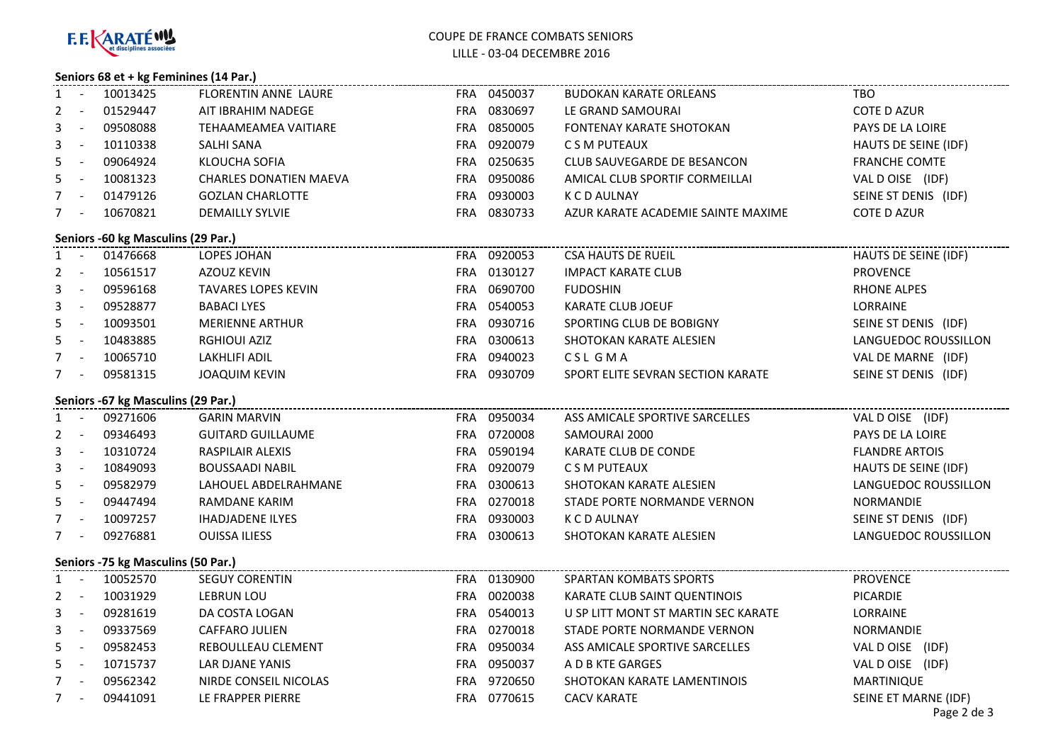

## COUPE DE FRANCE COMBATS SENIORSLILLE - 03-04 DECEMBRE 2016

### **Seniors 68 et + kg Feminines (14 Par.)**

| 1                                  |                          | - 10013425   | FLORENTIN ANNE LAURE          |  | FRA 0450037 | <b>BUDOKAN KARATE ORLEANS</b>       | <b>TBO</b>                          |  |  |
|------------------------------------|--------------------------|--------------|-------------------------------|--|-------------|-------------------------------------|-------------------------------------|--|--|
| $2^{\circ}$                        | $\sim 100$ km s $^{-1}$  | 01529447     | AIT IBRAHIM NADEGE            |  | FRA 0830697 | LE GRAND SAMOURAI                   | <b>COTE D AZUR</b>                  |  |  |
| 3                                  |                          | - 09508088   | TEHAAMEAMEA VAITIARE          |  | FRA 0850005 | <b>FONTENAY KARATE SHOTOKAN</b>     | PAYS DE LA LOIRE                    |  |  |
| 3                                  |                          | $- 10110338$ | SALHI SANA                    |  | FRA 0920079 | C S M PUTEAUX                       | HAUTS DE SEINE (IDF)                |  |  |
| 5                                  |                          | - 09064924   | KLOUCHA SOFIA                 |  | FRA 0250635 | CLUB SAUVEGARDE DE BESANCON         | <b>FRANCHE COMTE</b>                |  |  |
| 5                                  |                          | $- 10081323$ | <b>CHARLES DONATIEN MAEVA</b> |  | FRA 0950086 | AMICAL CLUB SPORTIF CORMEILLAI      | VAL DOISE (IDF)                     |  |  |
|                                    | $7 -$                    | 01479126     | <b>GOZLAN CHARLOTTE</b>       |  | FRA 0930003 | K C D AULNAY                        | SEINE ST DENIS (IDF)                |  |  |
|                                    |                          | 7 - 10670821 | <b>DEMAILLY SYLVIE</b>        |  | FRA 0830733 | AZUR KARATE ACADEMIE SAINTE MAXIME  | <b>COTE D AZUR</b>                  |  |  |
| Seniors -60 kg Masculins (29 Par.) |                          |              |                               |  |             |                                     |                                     |  |  |
|                                    |                          | 1 - 01476668 | LOPES JOHAN                   |  | FRA 0920053 | <b>CSA HAUTS DE RUEIL</b>           | HAUTS DE SEINE (IDF)                |  |  |
|                                    |                          | 2 - 10561517 | AZOUZ KEVIN                   |  | FRA 0130127 | <b>IMPACT KARATE CLUB</b>           | <b>PROVENCE</b>                     |  |  |
| 3                                  |                          | - 09596168   | <b>TAVARES LOPES KEVIN</b>    |  | FRA 0690700 | <b>FUDOSHIN</b>                     | RHONE ALPES                         |  |  |
| 3                                  |                          | - 09528877   | <b>BABACI LYES</b>            |  | FRA 0540053 | KARATE CLUB JOEUF                   | <b>LORRAINE</b>                     |  |  |
| 5                                  |                          | $- 10093501$ | <b>MERIENNE ARTHUR</b>        |  | FRA 0930716 | SPORTING CLUB DE BOBIGNY            | SEINE ST DENIS (IDF)                |  |  |
|                                    |                          | 5 - 10483885 | <b>RGHIOUI AZIZ</b>           |  | FRA 0300613 | SHOTOKAN KARATE ALESIEN             | LANGUEDOC ROUSSILLON                |  |  |
|                                    |                          | 7 - 10065710 | LAKHLIFI ADIL                 |  | FRA 0940023 | CSL GMA                             | VAL DE MARNE (IDF)                  |  |  |
|                                    | $7 -$                    | 09581315     | <b>JOAQUIM KEVIN</b>          |  | FRA 0930709 | SPORT ELITE SEVRAN SECTION KARATE   | SEINE ST DENIS (IDF)                |  |  |
| Seniors -67 kg Masculins (29 Par.) |                          |              |                               |  |             |                                     |                                     |  |  |
|                                    |                          | 1 - 09271606 | <b>GARIN MARVIN</b>           |  | FRA 0950034 | ASS AMICALE SPORTIVE SARCELLES      | VAL D OISE (IDF)                    |  |  |
|                                    |                          | 2 - 09346493 | <b>GUITARD GUILLAUME</b>      |  | FRA 0720008 | SAMOURAI 2000                       | PAYS DE LA LOIRE                    |  |  |
| 3                                  |                          | $- 10310724$ | RASPILAIR ALEXIS              |  | FRA 0590194 | KARATE CLUB DE CONDE                | <b>FLANDRE ARTOIS</b>               |  |  |
| 3                                  |                          | $- 10849093$ | <b>BOUSSAADI NABIL</b>        |  | FRA 0920079 | C S M PUTEAUX                       | HAUTS DE SEINE (IDF)                |  |  |
| 5.                                 | $\sim 10^{-10}$          | 09582979     | LAHOUEL ABDELRAHMANE          |  | FRA 0300613 | SHOTOKAN KARATE ALESIEN             | LANGUEDOC ROUSSILLON                |  |  |
| 5                                  | $\sim 100$ km s $^{-1}$  | 09447494     | RAMDANE KARIM                 |  | FRA 0270018 | STADE PORTE NORMANDE VERNON         | NORMANDIE                           |  |  |
|                                    |                          | 7 - 10097257 | <b>IHADJADENE ILYES</b>       |  | FRA 0930003 | K C D AULNAY                        | SEINE ST DENIS (IDF)                |  |  |
|                                    | $7 -$                    | 09276881     | <b>OUISSA ILIESS</b>          |  | FRA 0300613 | SHOTOKAN KARATE ALESIEN             | LANGUEDOC ROUSSILLON                |  |  |
| Seniors -75 kg Masculins (50 Par.) |                          |              |                               |  |             |                                     |                                     |  |  |
|                                    |                          | 1 - 10052570 | <b>SEGUY CORENTIN</b>         |  | FRA 0130900 | <b>SPARTAN KOMBATS SPORTS</b>       | <b>PROVENCE</b>                     |  |  |
|                                    |                          | 2 - 10031929 | LEBRUN LOU                    |  | FRA 0020038 | KARATE CLUB SAINT QUENTINOIS        | <b>PICARDIE</b>                     |  |  |
| 3                                  | $\sim 10^{-10}$          | 09281619     | DA COSTA LOGAN                |  | FRA 0540013 | U SP LITT MONT ST MARTIN SEC KARATE | LORRAINE                            |  |  |
| 3                                  | $\sim 10^{-10}$          | 09337569     | CAFFARO JULIEN                |  | FRA 0270018 | STADE PORTE NORMANDE VERNON         | <b>NORMANDIE</b>                    |  |  |
| 5                                  | $\sim 1000$ km s $^{-1}$ | 09582453     | REBOULLEAU CLEMENT            |  | FRA 0950034 | ASS AMICALE SPORTIVE SARCELLES      | VAL D OISE (IDF)                    |  |  |
|                                    |                          | 5 - 10715737 | LAR DJANE YANIS               |  | FRA 0950037 | A D B KTE GARGES                    | VAL DOISE (IDF)                     |  |  |
|                                    | $7 - 1$                  | 09562342     | NIRDE CONSEIL NICOLAS         |  | FRA 9720650 | SHOTOKAN KARATE LAMENTINOIS         | MARTINIQUE                          |  |  |
|                                    | $7 -$                    | 09441091     | LE FRAPPER PIERRE             |  | FRA 0770615 | <b>CACV KARATE</b>                  | SEINE ET MARNE (IDF)<br>Page 2 de 3 |  |  |